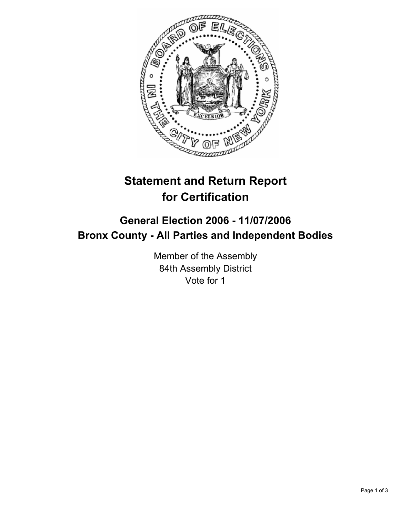

# **Statement and Return Report for Certification**

# **General Election 2006 - 11/07/2006 Bronx County - All Parties and Independent Bodies**

Member of the Assembly 84th Assembly District Vote for 1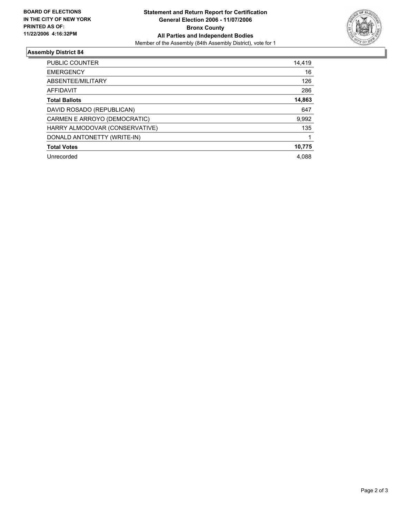

## **Assembly District 84**

| <b>PUBLIC COUNTER</b>          | 14,419 |
|--------------------------------|--------|
| <b>EMERGENCY</b>               | 16     |
| ABSENTEE/MILITARY              | 126    |
| AFFIDAVIT                      | 286    |
| <b>Total Ballots</b>           | 14,863 |
| DAVID ROSADO (REPUBLICAN)      | 647    |
| CARMEN E ARROYO (DEMOCRATIC)   | 9,992  |
| HARRY ALMODOVAR (CONSERVATIVE) | 135    |
| DONALD ANTONETTY (WRITE-IN)    |        |
| <b>Total Votes</b>             | 10,775 |
| Unrecorded                     | 4.088  |